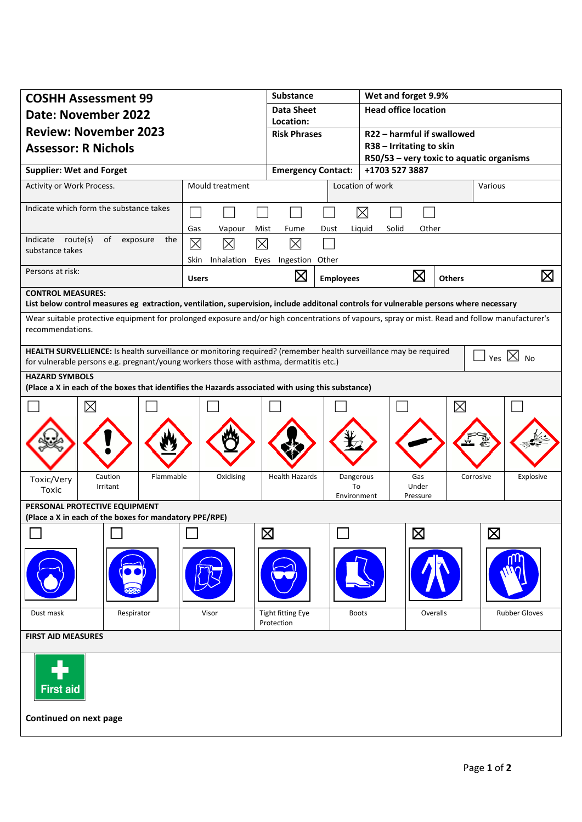| <b>COSHH Assessment 99</b>                                                                                                                                                                                                        |            |                                                                   | <b>Substance</b>                 |                                | Wet and forget 9.9%                                    |               |                      |  |
|-----------------------------------------------------------------------------------------------------------------------------------------------------------------------------------------------------------------------------------|------------|-------------------------------------------------------------------|----------------------------------|--------------------------------|--------------------------------------------------------|---------------|----------------------|--|
| <b>Date: November 2022</b>                                                                                                                                                                                                        |            |                                                                   | <b>Data Sheet</b>                |                                | <b>Head office location</b>                            |               |                      |  |
| <b>Review: November 2023</b><br><b>Assessor: R Nichols</b>                                                                                                                                                                        |            |                                                                   | Location:<br><b>Risk Phrases</b> |                                |                                                        |               |                      |  |
|                                                                                                                                                                                                                                   |            |                                                                   |                                  |                                | R22 - harmful if swallowed<br>R38 - Irritating to skin |               |                      |  |
|                                                                                                                                                                                                                                   |            |                                                                   |                                  |                                | R50/53 - very toxic to aquatic organisms               |               |                      |  |
| <b>Supplier: Wet and Forget</b>                                                                                                                                                                                                   |            |                                                                   | <b>Emergency Contact:</b>        |                                | +1703 527 3887                                         |               |                      |  |
| Activity or Work Process.                                                                                                                                                                                                         |            | Mould treatment                                                   |                                  |                                | Location of work                                       |               | Various              |  |
| Indicate which form the substance takes                                                                                                                                                                                           |            |                                                                   |                                  |                                | $\boxtimes$                                            |               |                      |  |
| Indicate route(s)<br>of<br>exposure<br>the<br>substance takes<br>Persons at risk:                                                                                                                                                 |            | Liquid<br>Solid<br>Other<br>Gas<br>Vapour<br>Mist<br>Fume<br>Dust |                                  |                                |                                                        |               |                      |  |
|                                                                                                                                                                                                                                   |            | $\boxtimes$<br>$\boxtimes$<br>⊠                                   | $\boxtimes$                      |                                |                                                        |               |                      |  |
|                                                                                                                                                                                                                                   |            | Skin<br>Inhalation Eyes<br>Ingestion Other                        |                                  |                                |                                                        |               |                      |  |
|                                                                                                                                                                                                                                   |            | <b>Users</b>                                                      | $\boxtimes$                      | <b>Employees</b>               | $\boxtimes$                                            | <b>Others</b> | $\boxtimes$          |  |
| <b>CONTROL MEASURES:</b>                                                                                                                                                                                                          |            |                                                                   |                                  |                                |                                                        |               |                      |  |
| List below control measures eg extraction, ventilation, supervision, include additonal controls for vulnerable persons where necessary                                                                                            |            |                                                                   |                                  |                                |                                                        |               |                      |  |
| Wear suitable protective equipment for prolonged exposure and/or high concentrations of vapours, spray or mist. Read and follow manufacturer's<br>recommendations.                                                                |            |                                                                   |                                  |                                |                                                        |               |                      |  |
| HEALTH SURVELLIENCE: Is health surveillance or monitoring required? (remember health surveillance may be required<br>Yes $\boxtimes$ No<br>for vulnerable persons e.g. pregnant/young workers those with asthma, dermatitis etc.) |            |                                                                   |                                  |                                |                                                        |               |                      |  |
| <b>HAZARD SYMBOLS</b>                                                                                                                                                                                                             |            |                                                                   |                                  |                                |                                                        |               |                      |  |
| (Place a X in each of the boxes that identifies the Hazards associated with using this substance)                                                                                                                                 |            |                                                                   |                                  |                                |                                                        |               |                      |  |
| $\boxtimes$                                                                                                                                                                                                                       |            |                                                                   |                                  |                                |                                                        | $\boxtimes$   |                      |  |
|                                                                                                                                                                                                                                   |            |                                                                   |                                  |                                |                                                        |               |                      |  |
|                                                                                                                                                                                                                                   |            |                                                                   |                                  |                                |                                                        |               |                      |  |
|                                                                                                                                                                                                                                   |            |                                                                   |                                  |                                |                                                        |               |                      |  |
|                                                                                                                                                                                                                                   |            |                                                                   |                                  |                                |                                                        |               |                      |  |
| Caution<br>Toxic/Very<br>Irritant<br>Toxic                                                                                                                                                                                        | Flammable  | Oxidising                                                         | <b>Health Hazards</b>            | Dangerous<br>To<br>Environment | Gas<br>Under<br>Pressure                               | Corrosive     | Explosive            |  |
| PERSONAL PROTECTIVE EQUIPMENT                                                                                                                                                                                                     |            |                                                                   |                                  |                                |                                                        |               |                      |  |
| (Place a X in each of the boxes for mandatory PPE/RPE)                                                                                                                                                                            |            |                                                                   |                                  |                                |                                                        |               |                      |  |
|                                                                                                                                                                                                                                   |            |                                                                   | $\boxtimes$                      |                                | $\boxtimes$                                            |               | $\boxtimes$          |  |
|                                                                                                                                                                                                                                   |            |                                                                   |                                  |                                |                                                        |               |                      |  |
|                                                                                                                                                                                                                                   |            |                                                                   |                                  |                                |                                                        |               |                      |  |
|                                                                                                                                                                                                                                   |            |                                                                   |                                  |                                |                                                        |               |                      |  |
|                                                                                                                                                                                                                                   |            |                                                                   |                                  |                                |                                                        |               |                      |  |
| Dust mask                                                                                                                                                                                                                         | Respirator | Visor                                                             | Tight fitting Eye<br>Protection  | <b>Boots</b>                   |                                                        | Overalls      | <b>Rubber Gloves</b> |  |
| <b>FIRST AID MEASURES</b>                                                                                                                                                                                                         |            |                                                                   |                                  |                                |                                                        |               |                      |  |
|                                                                                                                                                                                                                                   |            |                                                                   |                                  |                                |                                                        |               |                      |  |
|                                                                                                                                                                                                                                   |            |                                                                   |                                  |                                |                                                        |               |                      |  |
| <b>First aid</b>                                                                                                                                                                                                                  |            |                                                                   |                                  |                                |                                                        |               |                      |  |
|                                                                                                                                                                                                                                   |            |                                                                   |                                  |                                |                                                        |               |                      |  |
| Continued on next page                                                                                                                                                                                                            |            |                                                                   |                                  |                                |                                                        |               |                      |  |
|                                                                                                                                                                                                                                   |            |                                                                   |                                  |                                |                                                        |               |                      |  |